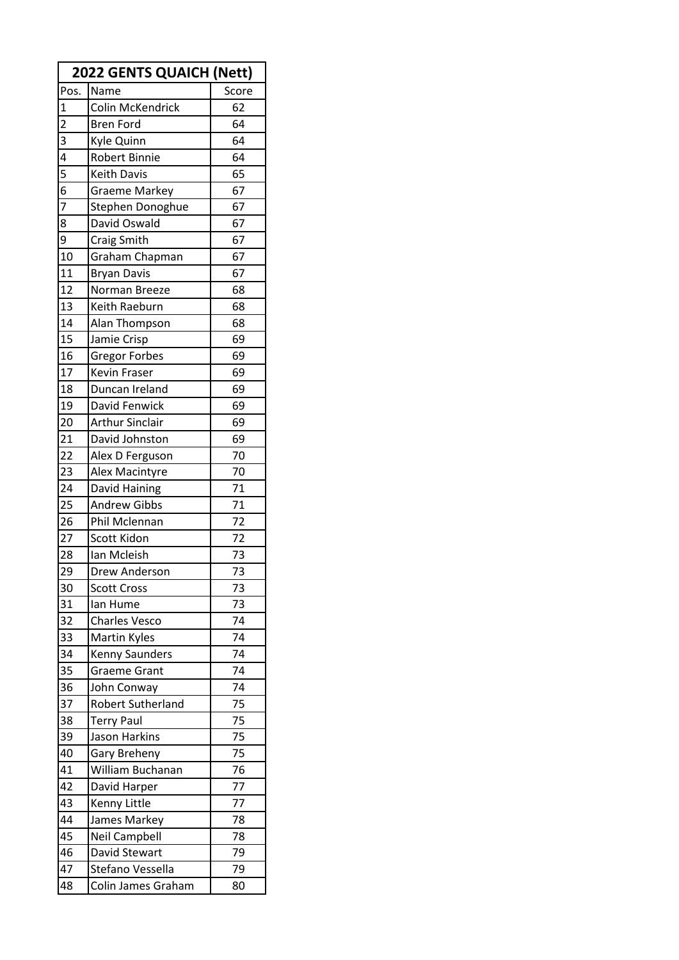| <b>2022 GENTS QUAICH (Nett)</b> |                        |       |  |
|---------------------------------|------------------------|-------|--|
| Pos.                            | Name                   | Score |  |
| $\overline{1}$                  | Colin McKendrick       | 62    |  |
| $\overline{2}$                  | <b>Bren Ford</b>       | 64    |  |
| 3                               | Kyle Quinn             | 64    |  |
| 4                               | <b>Robert Binnie</b>   | 64    |  |
| 5                               | Keith Davis            | 65    |  |
| 6                               | <b>Graeme Markey</b>   | 67    |  |
| 7                               | Stephen Donoghue       | 67    |  |
| 8                               | David Oswald           | 67    |  |
| 9                               | Craig Smith            | 67    |  |
| 10                              | Graham Chapman         | 67    |  |
| 11                              | <b>Bryan Davis</b>     | 67    |  |
| 12                              | Norman Breeze          | 68    |  |
| 13                              | Keith Raeburn          | 68    |  |
| 14                              | Alan Thompson          | 68    |  |
| 15                              | Jamie Crisp            | 69    |  |
| 16                              | <b>Gregor Forbes</b>   | 69    |  |
| 17                              | Kevin Fraser           | 69    |  |
| 18                              | Duncan Ireland         | 69    |  |
| 19                              | David Fenwick          | 69    |  |
| 20                              | <b>Arthur Sinclair</b> | 69    |  |
| 21                              | David Johnston         | 69    |  |
| 22                              | Alex D Ferguson        | 70    |  |
| 23                              | Alex Macintyre         | 70    |  |
| 24                              | David Haining          | 71    |  |
| 25                              | <b>Andrew Gibbs</b>    | 71    |  |
| 26                              | Phil Mclennan          | 72    |  |
| 27                              | Scott Kidon            | 72    |  |
| 28                              | Ian Mcleish            | 73    |  |
| 29                              | Drew Anderson          | 73    |  |
| 30                              | <b>Scott Cross</b>     | 73    |  |
| 31                              | lan Hume               | 73    |  |
| 32                              | <b>Charles Vesco</b>   | 74    |  |
| 33                              | Martin Kyles           | 74    |  |
| 34                              | <b>Kenny Saunders</b>  | 74    |  |
| 35                              | <b>Graeme Grant</b>    | 74    |  |
| 36                              | John Conway            | 74    |  |
| 37                              | Robert Sutherland      | 75    |  |
| 38                              | <b>Terry Paul</b>      | 75    |  |
| 39                              | Jason Harkins          | 75    |  |
| 40                              | Gary Breheny           | 75    |  |
| 41                              | William Buchanan       | 76    |  |
| 42                              | David Harper           | 77    |  |
| 43                              | Kenny Little           | 77    |  |
| 44                              | James Markey           | 78    |  |
| 45                              | <b>Neil Campbell</b>   | 78    |  |
| 46                              | David Stewart          | 79    |  |
| 47                              | Stefano Vessella       | 79    |  |
| 48                              | Colin James Graham     | 80    |  |
|                                 |                        |       |  |